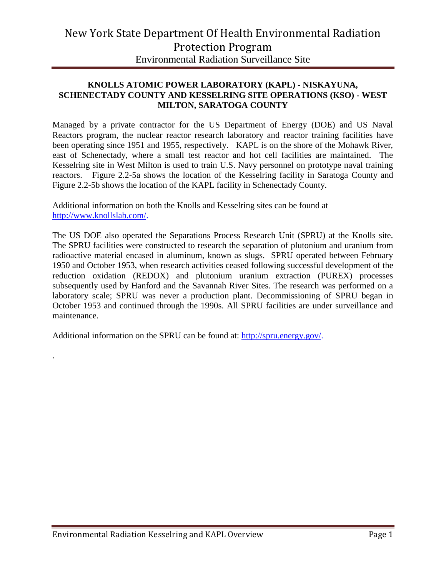## **KNOLLS ATOMIC POWER LABORATORY (KAPL) - NISKAYUNA, SCHENECTADY COUNTY AND KESSELRING SITE OPERATIONS (KSO) - WEST MILTON, SARATOGA COUNTY**

Managed by a private contractor for the US Department of Energy (DOE) and US Naval Reactors program, the nuclear reactor research laboratory and reactor training facilities have been operating since 1951 and 1955, respectively. KAPL is on the shore of the Mohawk River, east of Schenectady, where a small test reactor and hot cell facilities are maintained. The Kesselring site in West Milton is used to train U.S. Navy personnel on prototype naval training reactors. Figure 2.2-5a shows the location of the Kesselring facility in Saratoga County and Figure 2.2-5b shows the location of the KAPL facility in Schenectady County.

Additional information on both the Knolls and Kesselring sites can be found at [http://www.knollslab.com/.](http://www.knollslab.com/)

The US DOE also operated the Separations Process Research Unit (SPRU) at the Knolls site. The SPRU facilities were constructed to research the separation of plutonium and uranium from radioactive material encased in aluminum, known as slugs. SPRU operated between February 1950 and October 1953, when research activities ceased following successful development of the reduction oxidation (REDOX) and plutonium uranium extraction (PUREX) processes subsequently used by Hanford and the Savannah River Sites. The research was performed on a laboratory scale; SPRU was never a production plant. Decommissioning of SPRU began in October 1953 and continued through the 1990s. All SPRU facilities are under surveillance and maintenance.

Additional information on the SPRU can be found at: [http://spru.energy.gov/.](http://spru.energy.gov/)

.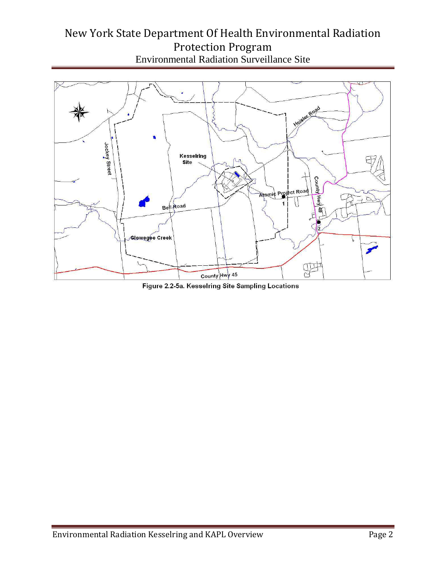## New York State Department Of Health Environmental Radiation Protection Program Environmental Radiation Surveillance Site



Figure 2.2-5a. Kesselring Site Sampling Locations